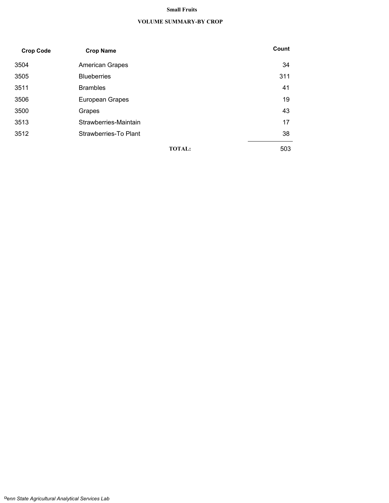### **Small Fruits**

#### **VOLUME SUMMARY-BY CROP**

| <b>Crop Code</b> | <b>Crop Name</b>       | Count |
|------------------|------------------------|-------|
| 3504             | <b>American Grapes</b> | 34    |
| 3505             | <b>Blueberries</b>     | 311   |
| 3511             | <b>Brambles</b>        | 41    |
| 3506             | European Grapes        | 19    |
| 3500             | Grapes                 | 43    |
| 3513             | Strawberries-Maintain  | 17    |
| 3512             | Strawberries-To Plant  | 38    |
|                  | <b>TOTAL:</b>          | 503   |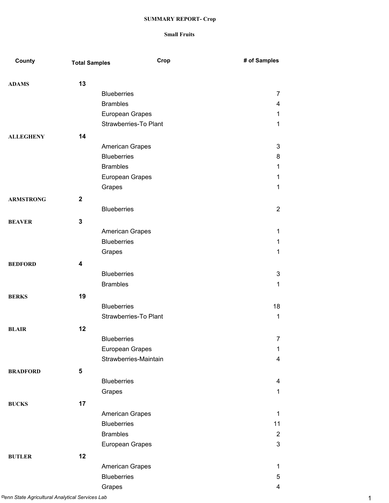| County           | <b>Total Samples</b>    | Crop                   | # of Samples   |
|------------------|-------------------------|------------------------|----------------|
| <b>ADAMS</b>     | 13                      |                        |                |
|                  |                         | <b>Blueberries</b>     | 7              |
|                  |                         | <b>Brambles</b>        | 4              |
|                  |                         | European Grapes        | 1              |
|                  |                         | Strawberries-To Plant  | 1              |
| <b>ALLEGHENY</b> | 14                      |                        |                |
|                  |                         | American Grapes        | $\mathbf{3}$   |
|                  |                         | <b>Blueberries</b>     | 8              |
|                  |                         | <b>Brambles</b>        | 1              |
|                  |                         | European Grapes        | 1              |
|                  |                         | Grapes                 | 1              |
| <b>ARMSTRONG</b> | $\mathbf 2$             |                        |                |
|                  |                         | <b>Blueberries</b>     | $\overline{2}$ |
| <b>BEAVER</b>    | $\mathbf{3}$            |                        |                |
|                  |                         | American Grapes        | 1              |
|                  |                         | <b>Blueberries</b>     | 1              |
|                  |                         | Grapes                 | 1              |
|                  |                         |                        |                |
| <b>BEDFORD</b>   | $\overline{\mathbf{4}}$ | <b>Blueberries</b>     | $\sqrt{3}$     |
|                  |                         | <b>Brambles</b>        | 1              |
|                  |                         |                        |                |
| <b>BERKS</b>     | 19                      |                        |                |
|                  |                         | <b>Blueberries</b>     | 18             |
|                  |                         | Strawberries-To Plant  | 1              |
| <b>BLAIR</b>     | 12                      |                        |                |
|                  |                         | <b>Blueberries</b>     | $\overline{7}$ |
|                  |                         | European Grapes        | 1              |
|                  |                         | Strawberries-Maintain  | 4              |
| <b>BRADFORD</b>  | 5                       |                        |                |
|                  |                         | <b>Blueberries</b>     | 4              |
|                  |                         | Grapes                 | 1              |
| <b>BUCKS</b>     | 17                      |                        |                |
|                  |                         | <b>American Grapes</b> | 1              |
|                  |                         | <b>Blueberries</b>     | 11             |
|                  |                         | <b>Brambles</b>        | $\overline{2}$ |
|                  |                         | European Grapes        | $\mathfrak{S}$ |
| <b>BUTLER</b>    | 12                      |                        |                |
|                  |                         | American Grapes        | 1              |
|                  |                         | <b>Blueberries</b>     | 5              |
|                  |                         | Grapes                 | 4              |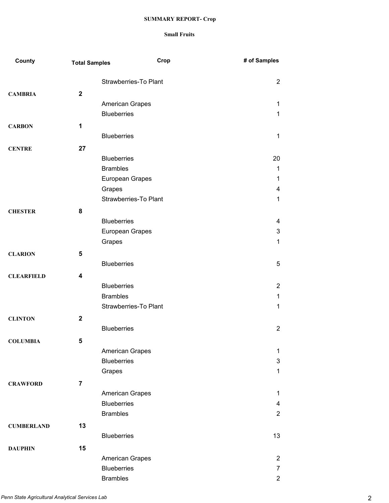| County            | <b>Total Samples</b> | Crop                                  | # of Samples        |
|-------------------|----------------------|---------------------------------------|---------------------|
|                   |                      | Strawberries-To Plant                 | $\overline{2}$      |
| <b>CAMBRIA</b>    | $\overline{2}$       |                                       |                     |
|                   |                      | American Grapes                       | 1                   |
|                   |                      | <b>Blueberries</b>                    | 1                   |
| <b>CARBON</b>     | 1                    |                                       |                     |
|                   |                      | <b>Blueberries</b>                    | 1                   |
|                   |                      |                                       |                     |
| <b>CENTRE</b>     | 27                   |                                       |                     |
|                   |                      | <b>Blueberries</b>                    | 20                  |
|                   |                      | <b>Brambles</b>                       | 1                   |
|                   |                      | European Grapes                       | 1                   |
|                   |                      | Grapes<br>Strawberries-To Plant       | 4                   |
|                   |                      |                                       | 1                   |
| <b>CHESTER</b>    | 8                    |                                       |                     |
|                   |                      | <b>Blueberries</b>                    | 4                   |
|                   |                      | European Grapes                       | 3                   |
|                   |                      | Grapes                                | 1                   |
| <b>CLARION</b>    | $5\phantom{1}$       |                                       |                     |
|                   |                      | <b>Blueberries</b>                    | 5                   |
| <b>CLEARFIELD</b> | 4                    |                                       |                     |
|                   |                      | <b>Blueberries</b>                    | $\overline{2}$      |
|                   |                      | <b>Brambles</b>                       | 1                   |
|                   |                      | <b>Strawberries-To Plant</b>          | 1                   |
| <b>CLINTON</b>    | $\mathbf{2}$         |                                       |                     |
|                   |                      | <b>Blueberries</b>                    | $\overline{2}$      |
| <b>COLUMBIA</b>   | 5                    |                                       |                     |
|                   |                      | <b>American Grapes</b>                | 1                   |
|                   |                      | <b>Blueberries</b>                    | 3                   |
|                   |                      | Grapes                                | 1                   |
|                   |                      |                                       |                     |
| <b>CRAWFORD</b>   | $\overline{7}$       |                                       |                     |
|                   |                      | American Grapes<br><b>Blueberries</b> | 1<br>$\overline{4}$ |
|                   |                      | <b>Brambles</b>                       | $\overline{2}$      |
|                   |                      |                                       |                     |
| <b>CUMBERLAND</b> | 13                   |                                       |                     |
|                   |                      | <b>Blueberries</b>                    | 13                  |
| <b>DAUPHIN</b>    | 15                   |                                       |                     |
|                   |                      | American Grapes                       | 2                   |
|                   |                      | <b>Blueberries</b>                    | $\overline{7}$      |
|                   |                      | <b>Brambles</b>                       | $\overline{2}$      |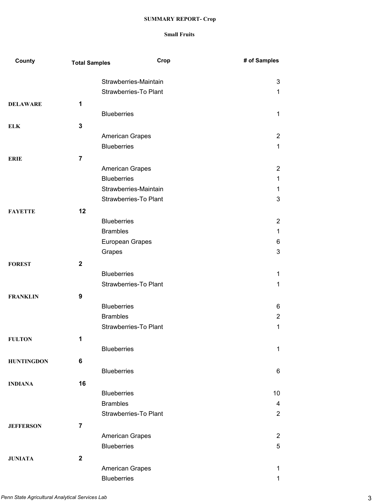| County            | <b>Total Samples</b> | Crop                         | # of Samples   |
|-------------------|----------------------|------------------------------|----------------|
|                   |                      | Strawberries-Maintain        | $\mathbf{3}$   |
|                   |                      | <b>Strawberries-To Plant</b> | 1              |
| <b>DELAWARE</b>   | 1                    |                              |                |
|                   |                      | <b>Blueberries</b>           | 1              |
| <b>ELK</b>        | 3                    |                              |                |
|                   |                      | American Grapes              | 2              |
|                   |                      | <b>Blueberries</b>           | 1              |
| <b>ERIE</b>       | $\overline{7}$       |                              |                |
|                   |                      | American Grapes              | 2              |
|                   |                      | <b>Blueberries</b>           | 1              |
|                   |                      | Strawberries-Maintain        | 1              |
|                   |                      | Strawberries-To Plant        | 3              |
| <b>FAYETTE</b>    | 12                   |                              |                |
|                   |                      | <b>Blueberries</b>           | 2              |
|                   |                      | <b>Brambles</b>              | 1              |
|                   |                      | European Grapes              | 6              |
|                   |                      | Grapes                       | 3              |
| <b>FOREST</b>     | $\mathbf{2}$         |                              |                |
|                   |                      | <b>Blueberries</b>           | 1              |
|                   |                      | <b>Strawberries-To Plant</b> | 1              |
| <b>FRANKLIN</b>   | 9                    |                              |                |
|                   |                      | <b>Blueberries</b>           | 6              |
|                   |                      | <b>Brambles</b>              | $\overline{2}$ |
|                   |                      | <b>Strawberries-To Plant</b> | 1              |
| <b>FULTON</b>     | 1                    |                              |                |
|                   |                      | <b>Blueberries</b>           | $\mathbf 1$    |
| <b>HUNTINGDON</b> | 6                    |                              |                |
|                   |                      | <b>Blueberries</b>           | 6              |
| <b>INDIANA</b>    | 16                   |                              |                |
|                   |                      | <b>Blueberries</b>           | 10             |
|                   |                      | <b>Brambles</b>              | 4              |
|                   |                      | <b>Strawberries-To Plant</b> | $\overline{2}$ |
| <b>JEFFERSON</b>  | $\overline{7}$       |                              |                |
|                   |                      | American Grapes              | 2              |
|                   |                      | <b>Blueberries</b>           | 5              |
| <b>JUNIATA</b>    | $\mathbf{2}$         |                              |                |
|                   |                      | American Grapes              | 1              |
|                   |                      | <b>Blueberries</b>           | 1              |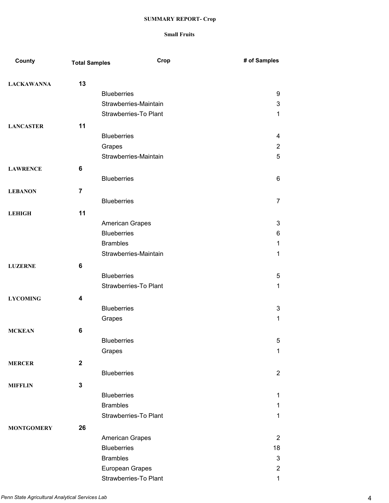| County            | <b>Total Samples</b> | Crop                                     | # of Samples        |
|-------------------|----------------------|------------------------------------------|---------------------|
| <b>LACKAWANNA</b> | 13                   |                                          |                     |
|                   |                      | <b>Blueberries</b>                       | 9                   |
|                   |                      | Strawberries-Maintain                    | 3                   |
|                   |                      | Strawberries-To Plant                    | 1                   |
| <b>LANCASTER</b>  | 11                   |                                          |                     |
|                   |                      | <b>Blueberries</b>                       | 4                   |
|                   |                      | Grapes                                   | $\overline{2}$      |
|                   |                      | Strawberries-Maintain                    | 5                   |
| <b>LAWRENCE</b>   | 6                    |                                          |                     |
|                   |                      | <b>Blueberries</b>                       | 6                   |
|                   |                      |                                          |                     |
| <b>LEBANON</b>    | $\overline{7}$       |                                          |                     |
|                   |                      | <b>Blueberries</b>                       | $\overline{7}$      |
| <b>LEHIGH</b>     | 11                   |                                          |                     |
|                   |                      | American Grapes                          | $\mathbf{3}$        |
|                   |                      | <b>Blueberries</b>                       | 6                   |
|                   |                      | <b>Brambles</b>                          | 1                   |
|                   |                      | Strawberries-Maintain                    | 1                   |
| <b>LUZERNE</b>    | 6                    |                                          |                     |
|                   |                      | <b>Blueberries</b>                       | 5                   |
|                   |                      | <b>Strawberries-To Plant</b>             | 1                   |
| <b>LYCOMING</b>   | 4                    |                                          |                     |
|                   |                      | <b>Blueberries</b>                       | 3                   |
|                   |                      | Grapes                                   | 1                   |
| <b>MCKEAN</b>     | 6                    |                                          |                     |
|                   |                      | <b>Blueberries</b>                       | 5                   |
|                   |                      | Grapes                                   | 1                   |
| <b>MERCER</b>     | $\mathbf 2$          |                                          |                     |
|                   |                      | <b>Blueberries</b>                       | $\overline{2}$      |
| <b>MIFFLIN</b>    | 3                    |                                          |                     |
|                   |                      | <b>Blueberries</b>                       | 1                   |
|                   |                      | <b>Brambles</b>                          | 1                   |
|                   |                      | Strawberries-To Plant                    | 1                   |
|                   |                      |                                          |                     |
| <b>MONTGOMERY</b> | 26                   |                                          |                     |
|                   |                      | American Grapes                          | 2                   |
|                   |                      | <b>Blueberries</b><br><b>Brambles</b>    | 18                  |
|                   |                      |                                          | $\sqrt{3}$          |
|                   |                      | European Grapes<br>Strawberries-To Plant | $\overline{2}$<br>1 |
|                   |                      |                                          |                     |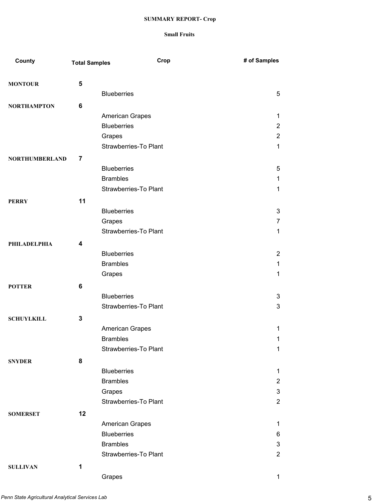| County                | <b>Total Samples</b> | Crop                                  | # of Samples        |
|-----------------------|----------------------|---------------------------------------|---------------------|
|                       |                      |                                       |                     |
| <b>MONTOUR</b>        | 5                    | <b>Blueberries</b>                    | 5                   |
|                       |                      |                                       |                     |
| <b>NORTHAMPTON</b>    | 6                    |                                       |                     |
|                       |                      | American Grapes<br><b>Blueberries</b> | 1<br>$\overline{2}$ |
|                       |                      | Grapes                                | $\overline{2}$      |
|                       |                      | Strawberries-To Plant                 | $\mathbf{1}$        |
|                       |                      |                                       |                     |
| <b>NORTHUMBERLAND</b> | 7                    |                                       |                     |
|                       |                      | <b>Blueberries</b>                    | 5                   |
|                       |                      | <b>Brambles</b>                       | 1                   |
|                       |                      | Strawberries-To Plant                 | 1                   |
| <b>PERRY</b>          | 11                   |                                       |                     |
|                       |                      | <b>Blueberries</b>                    | 3                   |
|                       |                      | Grapes                                | 7                   |
|                       |                      | Strawberries-To Plant                 | 1                   |
| PHILADELPHIA          | 4                    |                                       |                     |
|                       |                      | <b>Blueberries</b>                    | $\overline{2}$      |
|                       |                      | <b>Brambles</b>                       | 1                   |
|                       |                      | Grapes                                | 1                   |
| <b>POTTER</b>         | 6                    |                                       |                     |
|                       |                      | <b>Blueberries</b>                    | 3                   |
|                       |                      | Strawberries-To Plant                 | 3                   |
| <b>SCHUYLKILL</b>     | 3                    |                                       |                     |
|                       |                      | <b>American Grapes</b>                | 1                   |
|                       |                      | <b>Brambles</b>                       | 1                   |
|                       |                      | Strawberries-To Plant                 | 1                   |
| <b>SNYDER</b>         | 8                    |                                       |                     |
|                       |                      | <b>Blueberries</b>                    | 1                   |
|                       |                      | <b>Brambles</b>                       | $\overline{2}$      |
|                       |                      | Grapes                                | 3                   |
|                       |                      | Strawberries-To Plant                 | $\overline{2}$      |
| <b>SOMERSET</b>       | 12                   |                                       |                     |
|                       |                      | American Grapes                       | 1                   |
|                       |                      | <b>Blueberries</b>                    | 6                   |
|                       |                      | <b>Brambles</b>                       | 3                   |
|                       |                      | Strawberries-To Plant                 | $\overline{2}$      |
| <b>SULLIVAN</b>       | 1                    |                                       |                     |
|                       |                      | Grapes                                | 1                   |
|                       |                      |                                       |                     |